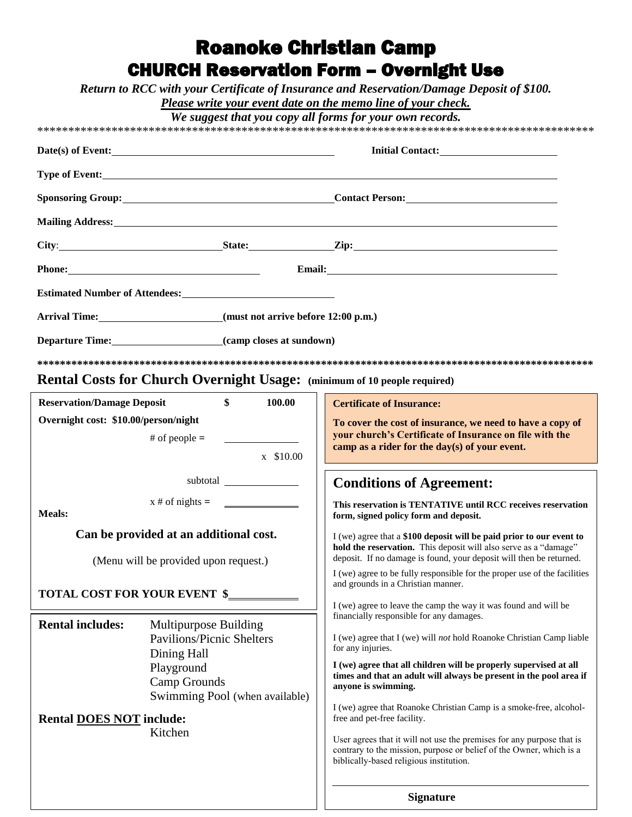# **Roanoke Christian Camp CHURCH Reservation Form - Overnight Use**

Return to RCC with your Certificate of Insurance and Reservation/Damage Deposit of \$100.

Please write your event date on the memo line of your check.

We suggest that you copy all forms for your own records.

| Date(s) of Event:                                                                                                                                                                                                              |                                                           |                                                                                                                                                                                         |  |
|--------------------------------------------------------------------------------------------------------------------------------------------------------------------------------------------------------------------------------|-----------------------------------------------------------|-----------------------------------------------------------------------------------------------------------------------------------------------------------------------------------------|--|
|                                                                                                                                                                                                                                |                                                           |                                                                                                                                                                                         |  |
|                                                                                                                                                                                                                                |                                                           |                                                                                                                                                                                         |  |
| Mailing Address: 1988 and 2008 and 2008 and 2008 and 2008 and 2008 and 2008 and 2008 and 2008 and 2008 and 200                                                                                                                 |                                                           |                                                                                                                                                                                         |  |
|                                                                                                                                                                                                                                |                                                           |                                                                                                                                                                                         |  |
| Phone: 2008 and 2008 and 2008 and 2008 and 2008 and 2008 and 2008 and 2008 and 2008 and 2008 and 2008 and 2008 and 2008 and 2008 and 2008 and 2008 and 2008 and 2008 and 2008 and 2008 and 2008 and 2008 and 2008 and 2008 and |                                                           |                                                                                                                                                                                         |  |
|                                                                                                                                                                                                                                |                                                           |                                                                                                                                                                                         |  |
| Arrival Time: (must not arrive before 12:00 p.m.)                                                                                                                                                                              |                                                           |                                                                                                                                                                                         |  |
| Departure Time: (camp closes at sundown)                                                                                                                                                                                       |                                                           |                                                                                                                                                                                         |  |
|                                                                                                                                                                                                                                |                                                           |                                                                                                                                                                                         |  |
| <b>Rental Costs for Church Overnight Usage:</b> (minimum of 10 people required)                                                                                                                                                |                                                           |                                                                                                                                                                                         |  |
| <b>Reservation/Damage Deposit</b>                                                                                                                                                                                              | $\mathbf{\$}$<br>100.00                                   | <b>Certificate of Insurance:</b>                                                                                                                                                        |  |
| Overnight cost: \$10.00/person/night<br>To cover the cost of insurance, we need to have a copy of                                                                                                                              |                                                           |                                                                                                                                                                                         |  |
|                                                                                                                                                                                                                                |                                                           | your church's Certificate of Insurance on file with the<br>camp as a rider for the day(s) of your event.                                                                                |  |
|                                                                                                                                                                                                                                | x \$10.00                                                 |                                                                                                                                                                                         |  |
| subtotal                                                                                                                                                                                                                       |                                                           | <b>Conditions of Agreement:</b>                                                                                                                                                         |  |
| <b>Meals:</b>                                                                                                                                                                                                                  | $x \#$ of nights = $\qquad \qquad \qquad$                 | This reservation is TENTATIVE until RCC receives reservation<br>form, signed policy form and deposit.                                                                                   |  |
| Can be provided at an additional cost.<br>I (we) agree that a \$100 deposit will be paid prior to our event to                                                                                                                 |                                                           |                                                                                                                                                                                         |  |
| (Menu will be provided upon request.)                                                                                                                                                                                          |                                                           | hold the reservation. This deposit will also serve as a "damage"<br>deposit. If no damage is found, your deposit will then be returned.                                                 |  |
|                                                                                                                                                                                                                                |                                                           | I (we) agree to be fully responsible for the proper use of the facilities<br>and grounds in a Christian manner.                                                                         |  |
| <b>TOTAL COST FOR YOUR EVENT \$_</b>                                                                                                                                                                                           |                                                           |                                                                                                                                                                                         |  |
|                                                                                                                                                                                                                                |                                                           | I (we) agree to leave the camp the way it was found and will be<br>financially responsible for any damages.                                                                             |  |
| <b>Rental includes:</b>                                                                                                                                                                                                        | Multipurpose Building<br><b>Pavilions/Picnic Shelters</b> | I (we) agree that I (we) will not hold Roanoke Christian Camp liable                                                                                                                    |  |
|                                                                                                                                                                                                                                | Dining Hall                                               | for any injuries.                                                                                                                                                                       |  |
|                                                                                                                                                                                                                                | Playground                                                | I (we) agree that all children will be properly supervised at all<br>times and that an adult will always be present in the pool area if                                                 |  |
|                                                                                                                                                                                                                                | Camp Grounds                                              | anyone is swimming.                                                                                                                                                                     |  |
|                                                                                                                                                                                                                                | Swimming Pool (when available)                            | I (we) agree that Roanoke Christian Camp is a smoke-free, alcohol-                                                                                                                      |  |
| <b>Rental DOES NOT include:</b>                                                                                                                                                                                                |                                                           | free and pet-free facility.                                                                                                                                                             |  |
|                                                                                                                                                                                                                                | Kitchen                                                   | User agrees that it will not use the premises for any purpose that is<br>contrary to the mission, purpose or belief of the Owner, which is a<br>biblically-based religious institution. |  |
|                                                                                                                                                                                                                                |                                                           |                                                                                                                                                                                         |  |
|                                                                                                                                                                                                                                |                                                           | <b>Signature</b>                                                                                                                                                                        |  |